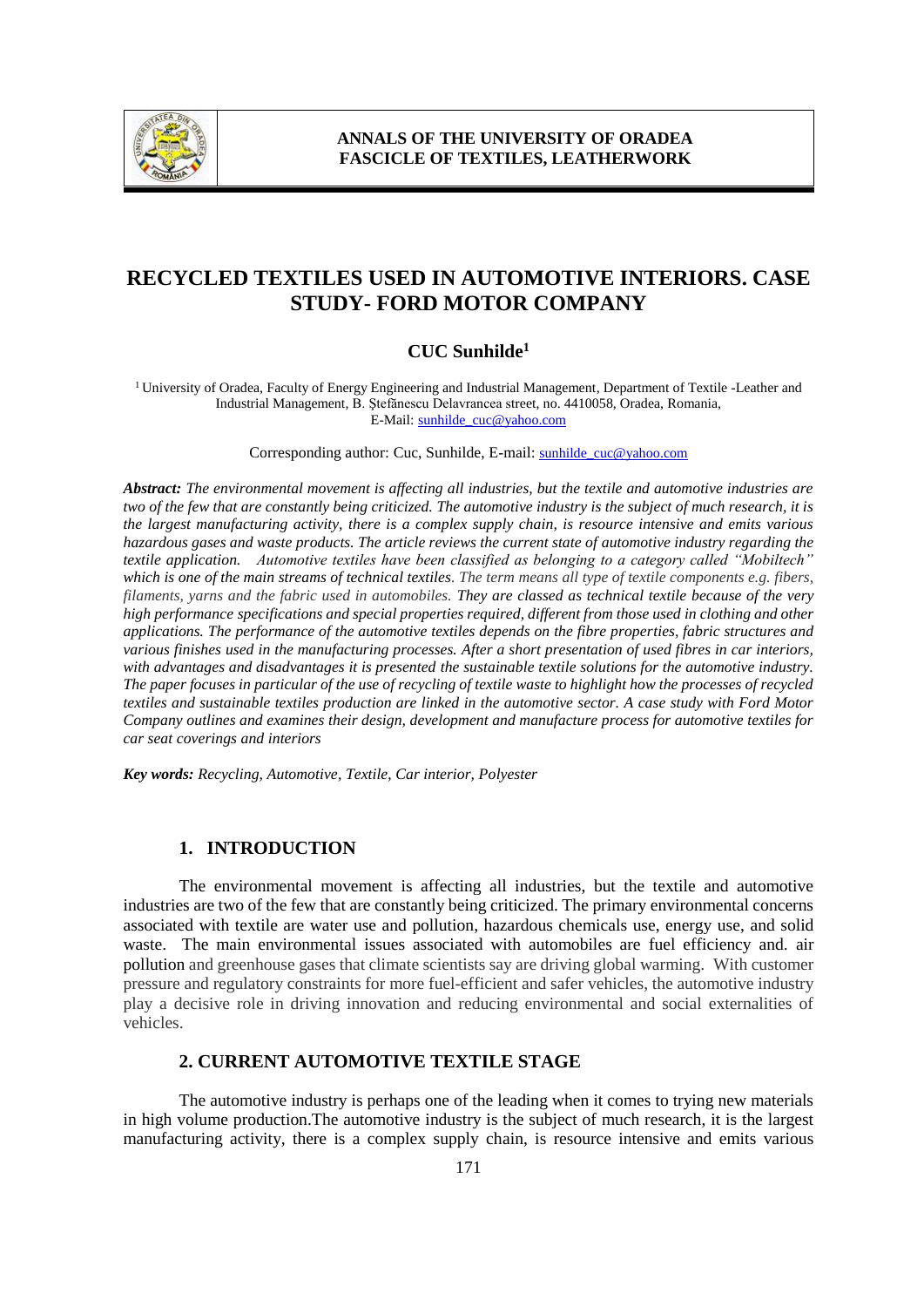

# **RECYCLED TEXTILES USED IN AUTOMOTIVE INTERIORS. CASE STUDY- FORD MOTOR COMPANY**

# **CUC Sunhilde 1**

<sup>1</sup>University of Oradea, Faculty of Energy Engineering and Industrial Management, Department of Textile -Leather and Industrial Management, B. Ştefănescu Delavrancea street, no. 4410058, Oradea, Romania, E-Mail: sunhilde\_cuc@yahoo.com

Corresponding author: Cuc, Sunhilde, E-mail: sunhilde\_cuc@yahoo.com

*Abstract: The environmental movement is affecting all industries, but the textile and automotive industries are two of the few that are constantly being criticized. The automotive industry is the subject of much research, it is the largest manufacturing activity, there is a complex supply chain, is resource intensive and emits various hazardous gases and waste products. The article reviews the current state of automotive industry regarding the textile application. Automotive textiles have been classified as belonging to a category called "Mobiltech" which is one of the main streams of technical textiles. The term means all type of textile components e.g. fibers, filaments, yarns and the fabric used in automobiles. They are classed as technical textile because of the very high performance specifications and special properties required, different from those used in clothing and other applications. The performance of the automotive textiles depends on the fibre properties, fabric structures and various finishes used in the manufacturing processes. After a short presentation of used fibres in car interiors, with advantages and disadvantages it is presented the sustainable textile solutions for the automotive industry. The paper focuses in particular of the use of recycling of textile waste to highlight how the processes of recycled textiles and sustainable textiles production are linked in the automotive sector. A case study with Ford Motor Company outlines and examines their design, development and manufacture process for automotive textiles for car seat coverings and interiors*

*Key words: Recycling, Automotive, Textile, Car interior, Polyester*

## **1. INTRODUCTION**

The environmental movement is affecting all industries, but the textile and automotive industries are two of the few that are constantly being criticized. The primary environmental concerns associated with textile are water use and pollution, hazardous chemicals use, energy use, and solid waste. The main environmental issues associated with automobiles are fuel efficiency and. air pollution and greenhouse gases that climate scientists say are driving global warming. With customer pressure and regulatory constraints for more fuel-efficient and safer vehicles, the automotive industry play a decisive role in driving innovation and reducing environmental and social externalities of vehicles.

# **2. CURRENT AUTOMOTIVE TEXTILE STAGE**

The automotive industry is perhaps one of the leading when it comes to trying new materials in high volume production.The automotive industry is the subject of much research, it is the largest manufacturing activity, there is a complex supply chain, is resource intensive and emits various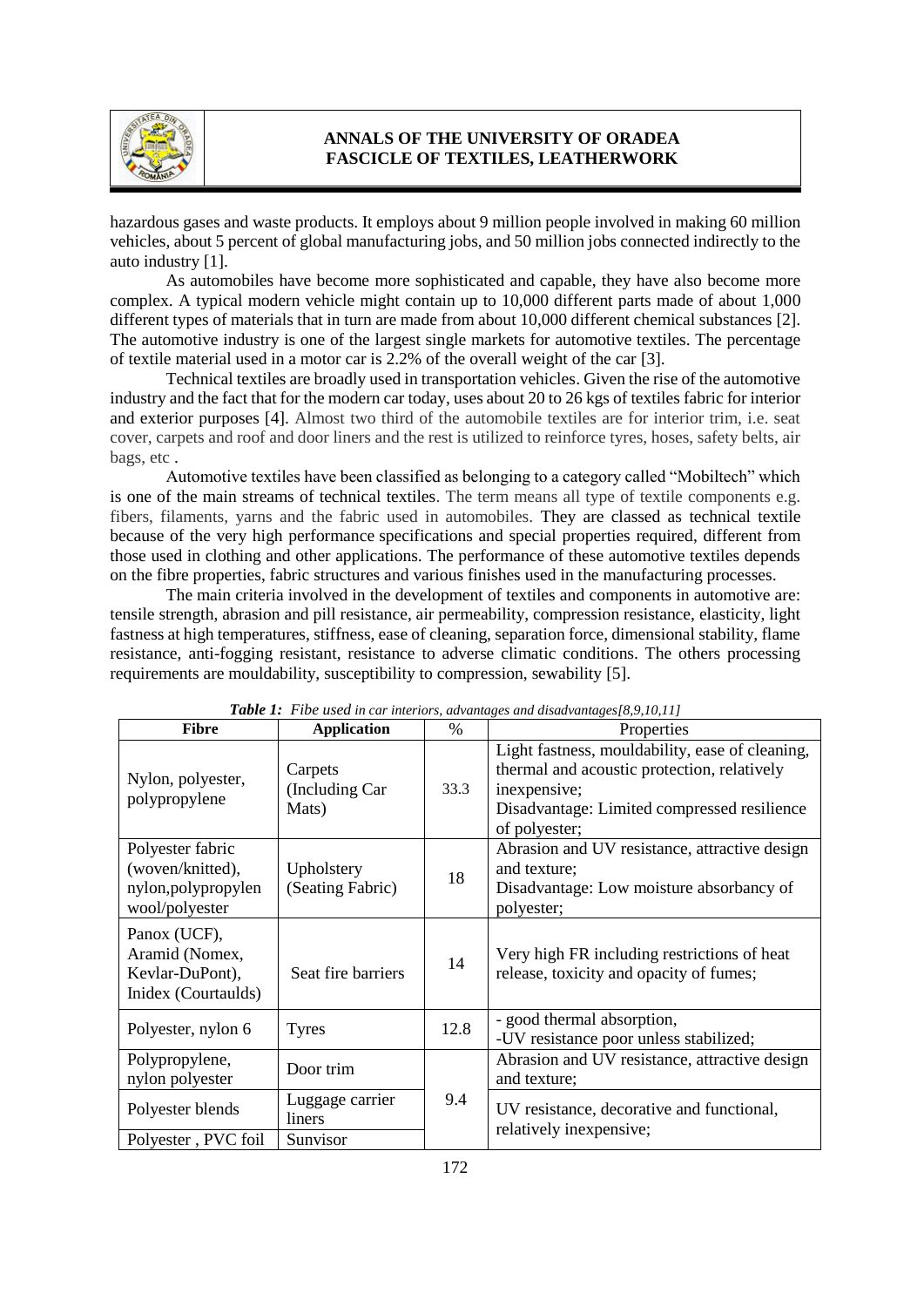

hazardous gases and waste products. It employs about 9 million people involved in making 60 million vehicles, about 5 percent of global manufacturing jobs, and 50 million jobs connected indirectly to the auto industry [1].

As automobiles have become more sophisticated and capable, they have also become more complex. A typical modern vehicle might contain up to 10,000 different parts made of about 1,000 different types of materials that in turn are made from about 10,000 different chemical substances [2]. The automotive industry is one of the largest single markets for automotive textiles. The percentage of textile material used in a motor car is 2.2% of the overall weight of the car [3].

Technical textiles are broadly used in transportation vehicles. Given the rise of the automotive industry and the fact that for the modern car today, uses about 20 to 26 kgs of textiles fabric for interior and exterior purposes [4]. Almost two third of the automobile textiles are for interior trim, i.e. seat cover, carpets and roof and door liners and the rest is utilized to reinforce tyres, hoses, safety belts, air bags, etc .

Automotive textiles have been classified as belonging to a category called "Mobiltech" which is one of the main streams of technical textiles. The term means all type of textile components e.g. fibers, filaments, yarns and the fabric used in automobiles. They are classed as technical textile because of the very high performance specifications and special properties required, different from those used in clothing and other applications. The performance of these automotive textiles depends on the fibre properties, fabric structures and various finishes used in the manufacturing processes.

The main criteria involved in the development of textiles and components in automotive are: tensile strength, abrasion and pill resistance, air permeability, compression resistance, elasticity, light fastness at high temperatures, stiffness, ease of cleaning, separation force, dimensional stability, flame resistance, anti-fogging resistant, resistance to adverse climatic conditions. The others processing requirements are mouldability, susceptibility to compression, sewability [5].

| <b>Fibre</b>                                                                  | <b>Application</b>                 | $\frac{0}{0}$ | Properties                                                                                                                                                                     |
|-------------------------------------------------------------------------------|------------------------------------|---------------|--------------------------------------------------------------------------------------------------------------------------------------------------------------------------------|
| Nylon, polyester,<br>polypropylene                                            | Carpets<br>(Including Car<br>Mats) | 33.3          | Light fastness, mouldability, ease of cleaning,<br>thermal and acoustic protection, relatively<br>inexpensive;<br>Disadvantage: Limited compressed resilience<br>of polyester; |
| Polyester fabric<br>(woven/knitted),<br>nylon, polypropylen<br>wool/polyester | Upholstery<br>(Seating Fabric)     | 18            | Abrasion and UV resistance, attractive design<br>and texture;<br>Disadvantage: Low moisture absorbancy of<br>polyester;                                                        |
| Panox (UCF),<br>Aramid (Nomex,<br>Kevlar-DuPont),<br>Inidex (Courtaulds)      | Seat fire barriers                 | 14            | Very high FR including restrictions of heat<br>release, toxicity and opacity of fumes;                                                                                         |
| Polyester, nylon 6                                                            | <b>Tyres</b>                       | 12.8          | - good thermal absorption,<br>-UV resistance poor unless stabilized;                                                                                                           |
| Polypropylene,<br>nylon polyester                                             | Door trim                          |               | Abrasion and UV resistance, attractive design<br>and texture;                                                                                                                  |
| Polyester blends                                                              | Luggage carrier<br>liners          | 9.4           | UV resistance, decorative and functional,<br>relatively inexpensive;                                                                                                           |
| Polyester, PVC foil                                                           | Sunvisor                           |               |                                                                                                                                                                                |

*Table 1: Fibe used in car interiors, advantages and disadvantages[8,9,10,11]*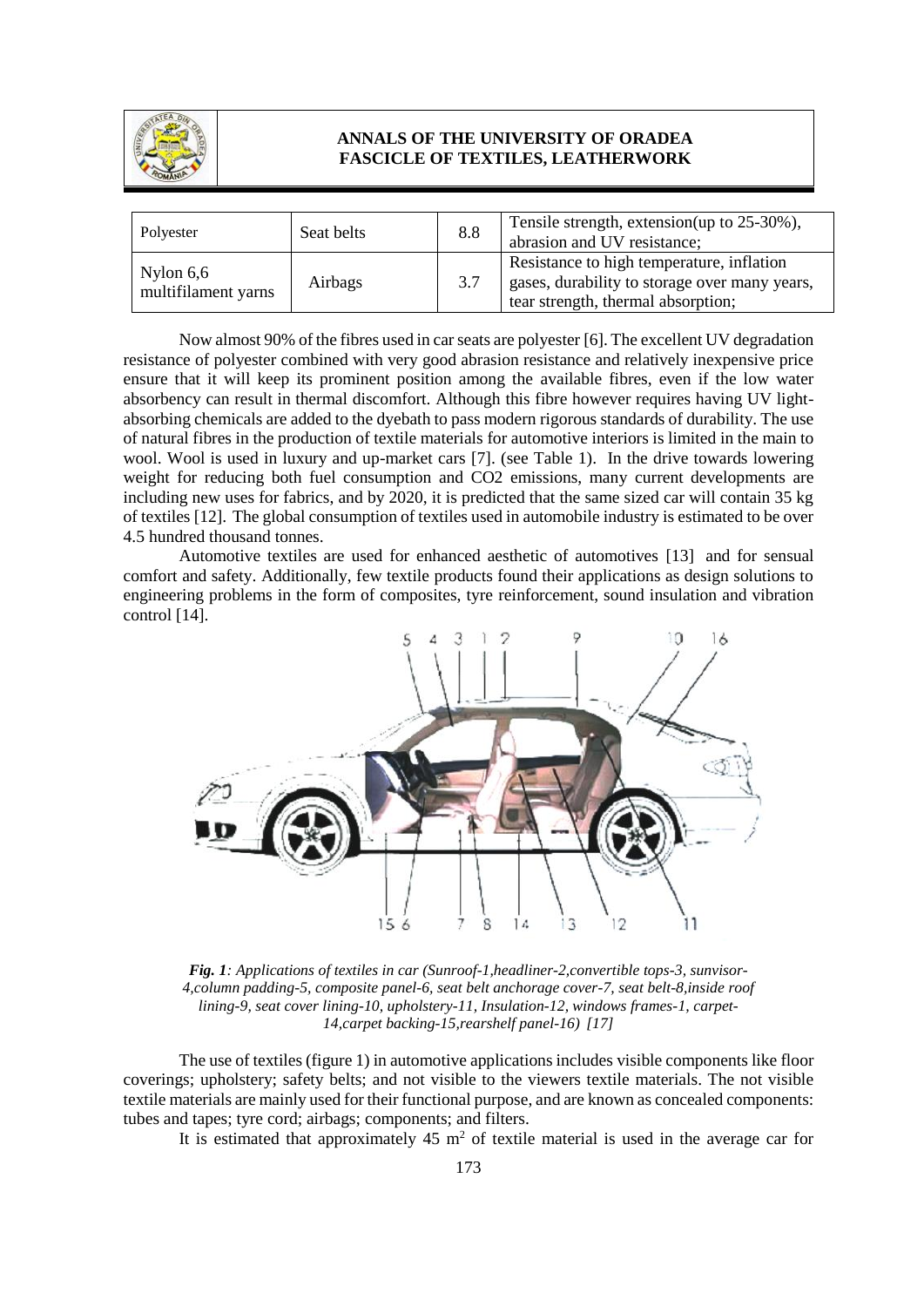

| Polyester                          | Seat belts | 8.8 | Tensile strength, extension(up to 25-30%),<br>abrasion and UV resistance;                                                        |
|------------------------------------|------------|-----|----------------------------------------------------------------------------------------------------------------------------------|
| Nylon $6,6$<br>multifilament yarns | Airbags    | 3.7 | Resistance to high temperature, inflation<br>gases, durability to storage over many years,<br>tear strength, thermal absorption; |

Now almost 90% of the fibres used in car seats are polyester [6]. The excellent UV degradation resistance of polyester combined with very good abrasion resistance and relatively inexpensive price ensure that it will keep its prominent position among the available fibres, even if the low water absorbency can result in thermal discomfort. Although this fibre however requires having UV lightabsorbing chemicals are added to the dyebath to pass modern rigorous standards of durability. The use of natural fibres in the production of textile materials for automotive interiors is limited in the main to wool. Wool is used in luxury and up-market cars [7]. (see Table 1). In the drive towards lowering weight for reducing both fuel consumption and CO2 emissions, many current developments are including new uses for fabrics, and by 2020, it is predicted that the same sized car will contain 35 kg of textiles [12]. The global consumption of textiles used in automobile industry is estimated to be over 4.5 hundred thousand tonnes.

Automotive textiles are used for enhanced aesthetic of automotives [13] and for sensual comfort and safety. Additionally, few textile products found their applications as design solutions to engineering problems in the form of composites, tyre reinforcement, sound insulation and vibration control [14].



*Fig. 1: Applications of textiles in car (Sunroof-1,headliner-2,convertible tops-3, sunvisor-4,column padding-5, composite panel-6, seat belt anchorage cover-7, seat belt-8,inside roof lining-9, seat cover lining-10, upholstery-11, Insulation-12, windows frames-1, carpet-14,carpet backing-15,rearshelf panel-16) [17]*

The use of textiles (figure 1) in automotive applications includes visible components like floor coverings; upholstery; safety belts; and not visible to the viewers textile materials. The not visible textile materials are mainly used for their functional purpose, and are known as concealed components: tubes and tapes; tyre cord; airbags; components; and filters.

It is estimated that approximately  $45 \text{ m}^2$  of textile material is used in the average car for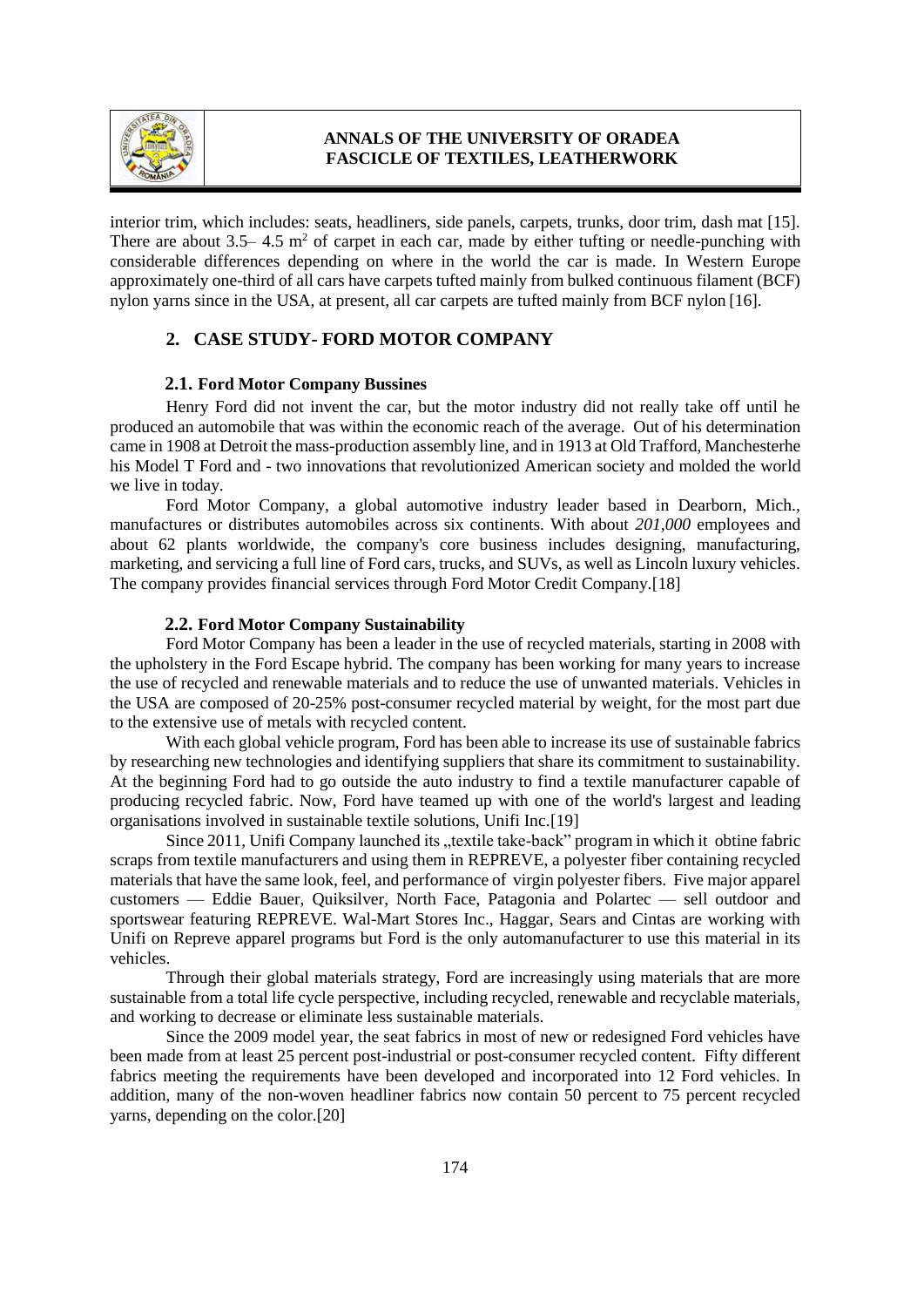

interior trim, which includes: seats, headliners, side panels, carpets, trunks, door trim, dash mat [15]. There are about  $3.5-4.5 \text{ m}^2$  of carpet in each car, made by either tufting or needle-punching with considerable differences depending on where in the world the car is made. In Western Europe approximately one-third of all cars have carpets tufted mainly from bulked continuous filament (BCF) nylon yarns since in the USA, at present, all car carpets are tufted mainly from BCF nylon [16].

# **2. CASE STUDY- FORD MOTOR COMPANY**

#### **2.1. Ford Motor Company Bussines**

Henry Ford did not invent the car, but the motor industry did not really take off until he produced an automobile that was within the economic reach of the average. Out of his determination came in 1908 at Detroit the mass-production assembly line, and in 1913 at Old Trafford, Manchesterhe his Model T Ford and - two innovations that revolutionized American society and molded the world we live in today.

Ford Motor Company, a global automotive industry leader based in Dearborn, Mich., manufactures or distributes automobiles across six continents. With about *201,000* employees and about 62 plants worldwide, the company's core business includes designing, manufacturing, marketing, and servicing a full line of Ford cars, trucks, and SUVs, as well as Lincoln luxury vehicles. The company provides financial services through Ford Motor Credit Company.[18]

#### **2.2. Ford Motor Company Sustainability**

Ford Motor Company has been a leader in the use of recycled materials, starting in 2008 with the upholstery in the Ford Escape hybrid. The company has been working for many years to increase the use of recycled and renewable materials and to reduce the use of unwanted materials. Vehicles in the USA are composed of 20-25% post-consumer recycled material by weight, for the most part due to the extensive use of metals with recycled content.

With each global vehicle program, Ford has been able to increase its use of sustainable fabrics by researching new technologies and identifying suppliers that share its commitment to sustainability. At the beginning Ford had to go outside the auto industry to find a textile manufacturer capable of producing recycled fabric. Now, Ford have teamed up with one of the world's largest and leading organisations involved in sustainable textile solutions, Unifi Inc.[19]

Since 2011, Unifi Company launched its "textile take-back" program in which it obtine fabric scraps from textile manufacturers and using them in REPREVE, a polyester fiber containing recycled materials that have the same look, feel, and performance of virgin polyester fibers. Five major apparel customers — Eddie Bauer, Quiksilver, North Face, Patagonia and Polartec — sell outdoor and sportswear featuring REPREVE. Wal-Mart Stores Inc., Haggar, Sears and Cintas are working with Unifi on Repreve apparel programs but Ford is the only automanufacturer to use this material in its vehicles.

Through their global materials strategy, Ford are increasingly using materials that are more sustainable from a total life cycle perspective, including recycled, renewable and recyclable materials, and working to decrease or eliminate less sustainable materials.

Since the 2009 model year, the seat fabrics in most of new or redesigned Ford vehicles have been made from at least 25 percent post-industrial or post-consumer recycled content. Fifty different fabrics meeting the requirements have been developed and incorporated into 12 Ford vehicles. In addition, many of the non-woven headliner fabrics now contain 50 percent to 75 percent recycled yarns, depending on the color.[20]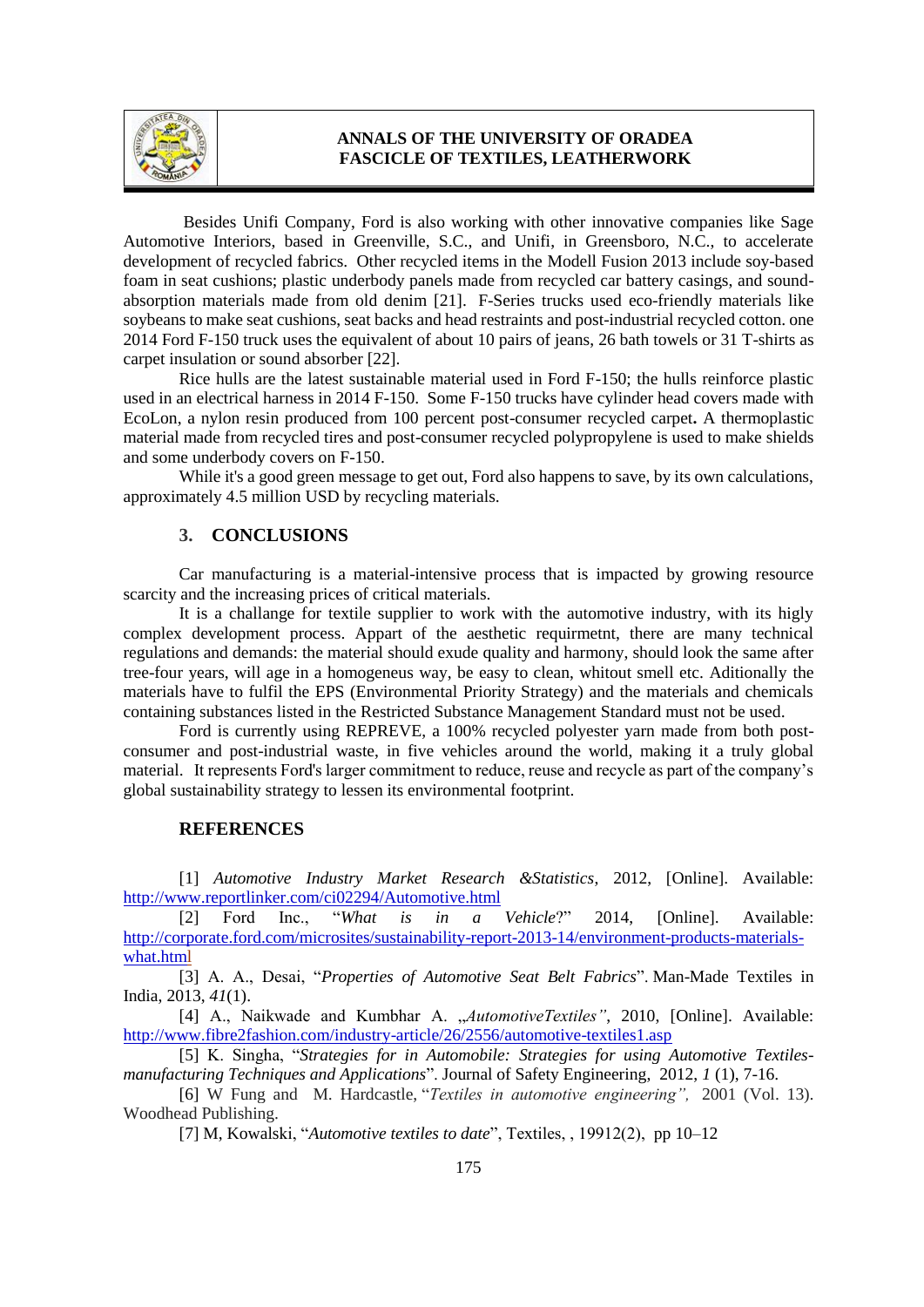

Besides Unifi Company, Ford is also working with other innovative companies like Sage Automotive Interiors, based in Greenville, S.C., and Unifi, in Greensboro, N.C., to accelerate development of recycled fabrics. Other recycled items in the Modell Fusion 2013 include soy-based foam in seat cushions; plastic underbody panels made from recycled car battery casings, and soundabsorption materials made from old denim [21]. F-Series trucks used eco-friendly materials like soybeans to make seat cushions, seat backs and head restraints and post-industrial recycled cotton. one 2014 Ford F-150 truck uses the equivalent of about 10 pairs of jeans, 26 bath towels or 31 T-shirts as carpet insulation or sound absorber [22].

Rice hulls are the latest sustainable material used in Ford F-150; the hulls reinforce plastic used in an electrical harness in 2014 F-150. Some F-150 trucks have cylinder head covers made with EcoLon, a nylon resin produced from 100 percent post-consumer recycled carpet**.** A thermoplastic material made from recycled tires and post-consumer recycled polypropylene is used to make shields and some underbody covers on F-150.

While it's a good green message to get out, Ford also happens to save, by its own calculations, approximately 4.5 million USD by recycling materials.

## **3. CONCLUSIONS**

Car manufacturing is a material-intensive process that is impacted by growing resource scarcity and the increasing prices of critical materials.

It is a challange for textile supplier to work with the automotive industry, with its higly complex development process. Appart of the aesthetic requirmetnt, there are many technical regulations and demands: the material should exude quality and harmony, should look the same after tree-four years, will age in a homogeneus way, be easy to clean, whitout smell etc. Aditionally the materials have to fulfil the EPS (Environmental Priority Strategy) and the materials and chemicals containing substances listed in the Restricted Substance Management Standard must not be used.

Ford is currently using REPREVE, a 100% recycled polyester yarn made from both postconsumer and post-industrial waste, in five vehicles around the world, making it a truly global material. It represents Ford's larger commitment to reduce, reuse and recycle as part of the company's global sustainability strategy to lessen its environmental footprint.

## **REFERENCES**

[1] *Automotive Industry Market Research &Statistics*, 2012, [Online]. Available: <http://www.reportlinker.com/ci02294/Automotive.html>

[2] Ford Inc., "*What is in a Vehicle*?" 2014, [Online]. Available: [http://corporate.ford.com/microsites/sustainability-report-2013-14/environment-products-materials](http://corporate.ford.com/microsites/sustainability-report-2013-14/environment-products-materials-what.html)[what.html](http://corporate.ford.com/microsites/sustainability-report-2013-14/environment-products-materials-what.html)

[3] A. A., Desai, "*Properties of Automotive Seat Belt Fabrics*". Man-Made Textiles in India, 2013, *41*(1).

[4] A., Naikwade and Kumbhar A. "*AutomotiveTextiles"*, 2010, [Online]. Available: <http://www.fibre2fashion.com/industry-article/26/2556/automotive-textiles1.asp>

[5] K. Singha, "*Strategies for in Automobile: Strategies for using Automotive Textilesmanufacturing Techniques and Applications*". Journal of Safety Engineering, 2012, *1* (1), 7-16.

[6] W Fung and M. Hardcastle, "*Textiles in automotive engineering",* 2001 (Vol. 13). Woodhead Publishing.

[7] M, Kowalski, "*Automotive textiles to date*", Textiles, , 19912(2), pp 10–12